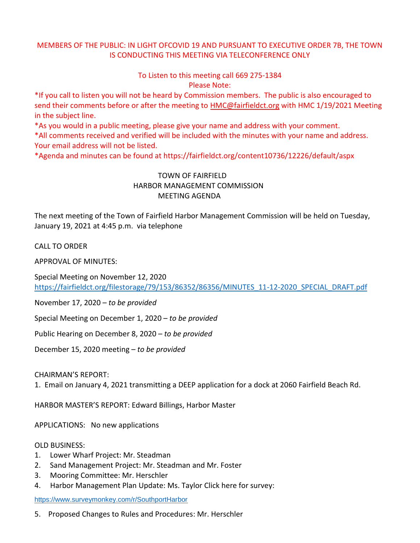## MEMBERS OF THE PUBLIC: IN LIGHT OFCOVID 19 AND PURSUANT TO EXECUTIVE ORDER 7B, THE TOWN IS CONDUCTING THIS MEETING VIA TELECONFERENCE ONLY

To Listen to this meeting call 669 275-1384 Please Note:

\*If you call to listen you will not be heard by Commission members. The public is also encouraged to send their comments before or after the meeting to [HMC@fairfieldct.org](mailto:HMC@fairfieldct.org) with HMC 1/19/2021 Meeting in the subject line.

\*As you would in a public meeting, please give your name and address with your comment.

\*All comments received and verified will be included with the minutes with your name and address. Your email address will not be listed.

\*Agenda and minutes can be found at https://fairfieldct.org/content10736/12226/default/aspx

## TOWN OF FAIRFIELD HARBOR MANAGEMENT COMMISSION MEETING AGENDA

The next meeting of the Town of Fairfield Harbor Management Commission will be held on Tuesday, January 19, 2021 at 4:45 p.m. via telephone

CALL TO ORDER

APPROVAL OF MINUTES:

Special Meeting on November 12, 2020 [https://fairfieldct.org/filestorage/79/153/86352/86356/MINUTES\\_11-12-2020\\_SPECIAL\\_DRAFT.pdf](https://fairfieldct.org/filestorage/79/153/86352/86356/MINUTES_11-12-2020_SPECIAL_DRAFT.pdf)

November 17, 2020 – *to be provided*

Special Meeting on December 1, 2020 – *to be provided*

Public Hearing on December 8, 2020 – *to be provided*

December 15, 2020 meeting – *to be provided*

CHAIRMAN'S REPORT:

1. Email on January 4, 2021 transmitting a DEEP application for a dock at 2060 Fairfield Beach Rd.

HARBOR MASTER'S REPORT: Edward Billings, Harbor Master

APPLICATIONS: No new applications

OLD BUSINESS:

- 1. Lower Wharf Project: Mr. Steadman
- 2. Sand Management Project: Mr. Steadman and Mr. Foster
- 3. Mooring Committee: Mr. Herschler
- 4. Harbor Management Plan Update: Ms. Taylor Click here for survey:

<https://www.surveymonkey.com/r/SouthportHarbor>

5. Proposed Changes to Rules and Procedures: Mr. Herschler